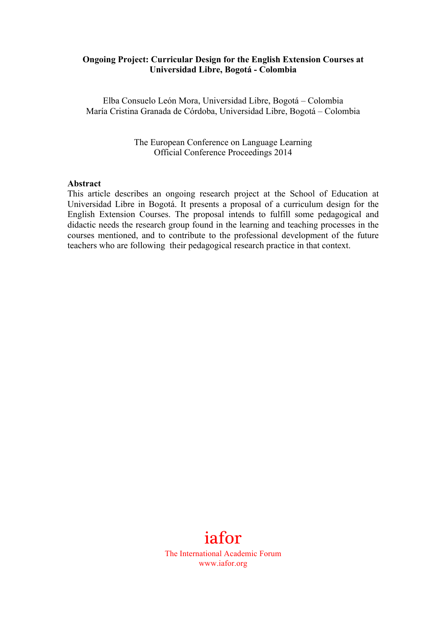#### **Ongoing Project: Curricular Design for the English Extension Courses at Universidad Libre, Bogotá - Colombia**

Elba Consuelo León Mora, Universidad Libre, Bogotá – Colombia María Cristina Granada de Córdoba, Universidad Libre, Bogotá – Colombia

> The European Conference on Language Learning Official Conference Proceedings 2014

#### **Abstract**

This article describes an ongoing research project at the School of Education at Universidad Libre in Bogotá. It presents a proposal of a curriculum design for the English Extension Courses. The proposal intends to fulfill some pedagogical and didactic needs the research group found in the learning and teaching processes in the courses mentioned, and to contribute to the professional development of the future teachers who are following their pedagogical research practice in that context.



The International Academic Forum www.iafor.org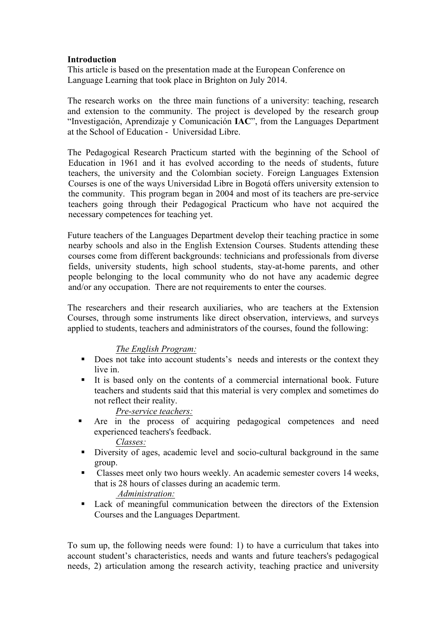## **Introduction**

This article is based on the presentation made at the European Conference on Language Learning that took place in Brighton on July 2014.

The research works on the three main functions of a university: teaching, research and extension to the community. The project is developed by the research group "Investigación, Aprendizaje y Comunicación **IAC**", from the Languages Department at the School of Education - Universidad Libre.

The Pedagogical Research Practicum started with the beginning of the School of Education in 1961 and it has evolved according to the needs of students, future teachers, the university and the Colombian society. Foreign Languages Extension Courses is one of the ways Universidad Libre in Bogotá offers university extension to the community. This program began in 2004 and most of its teachers are pre-service teachers going through their Pedagogical Practicum who have not acquired the necessary competences for teaching yet.

Future teachers of the Languages Department develop their teaching practice in some nearby schools and also in the English Extension Courses. Students attending these courses come from different backgrounds: technicians and professionals from diverse fields, university students, high school students, stay-at-home parents, and other people belonging to the local community who do not have any academic degree and/or any occupation. There are not requirements to enter the courses.

The researchers and their research auxiliaries, who are teachers at the Extension Courses, through some instruments like direct observation, interviews, and surveys applied to students, teachers and administrators of the courses, found the following:

# *The English Program:*

- Does not take into account students's needs and interests or the context they live in.
- ! It is based only on the contents of a commercial international book. Future teachers and students said that this material is very complex and sometimes do not reflect their reality.

# *Pre-service teachers:*

- ! Are in the process of acquiring pedagogical competences and need experienced teachers's feedback. *Classes:*
- ! Diversity of ages, academic level and socio-cultural background in the same group.
- ! Classes meet only two hours weekly. An academic semester covers 14 weeks, that is 28 hours of classes during an academic term. *Administration:*
- ! Lack of meaningful communication between the directors of the Extension Courses and the Languages Department.

To sum up, the following needs were found: 1) to have a curriculum that takes into account student's characteristics, needs and wants and future teachers's pedagogical needs, 2) articulation among the research activity, teaching practice and university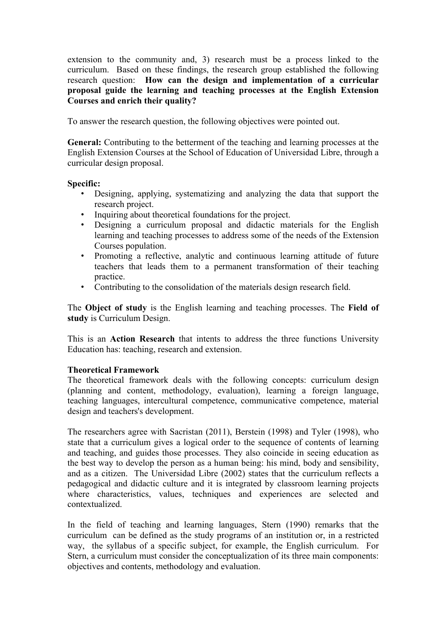extension to the community and, 3) research must be a process linked to the curriculum. Based on these findings, the research group established the following research question: **How can the design and implementation of a curricular proposal guide the learning and teaching processes at the English Extension Courses and enrich their quality?**

To answer the research question, the following objectives were pointed out.

**General:** Contributing to the betterment of the teaching and learning processes at the English Extension Courses at the School of Education of Universidad Libre, through a curricular design proposal.

### **Specific:**

- Designing, applying, systematizing and analyzing the data that support the research project.
- Inquiring about theoretical foundations for the project.
- Designing a curriculum proposal and didactic materials for the English learning and teaching processes to address some of the needs of the Extension Courses population.
- Promoting a reflective, analytic and continuous learning attitude of future teachers that leads them to a permanent transformation of their teaching practice.
- Contributing to the consolidation of the materials design research field.

The **Object of study** is the English learning and teaching processes. The **Field of study** is Curriculum Design.

This is an **Action Research** that intents to address the three functions University Education has: teaching, research and extension.

### **Theoretical Framework**

The theoretical framework deals with the following concepts: curriculum design (planning and content, methodology, evaluation), learning a foreign language, teaching languages, intercultural competence, communicative competence, material design and teachers's development.

The researchers agree with Sacristan (2011), Berstein (1998) and Tyler (1998), who state that a curriculum gives a logical order to the sequence of contents of learning and teaching, and guides those processes. They also coincide in seeing education as the best way to develop the person as a human being: his mind, body and sensibility, and as a citizen. The Universidad Libre (2002) states that the curriculum reflects a pedagogical and didactic culture and it is integrated by classroom learning projects where characteristics, values, techniques and experiences are selected and contextualized.

In the field of teaching and learning languages, Stern (1990) remarks that the curriculum can be defined as the study programs of an institution or, in a restricted way, the syllabus of a specific subject, for example, the English curriculum. For Stern, a curriculum must consider the conceptualization of its three main components: objectives and contents, methodology and evaluation.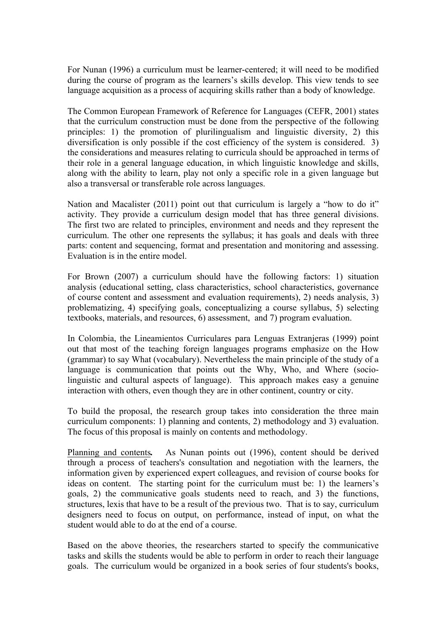For Nunan (1996) a curriculum must be learner-centered; it will need to be modified during the course of program as the learners's skills develop. This view tends to see language acquisition as a process of acquiring skills rather than a body of knowledge.

The Common European Framework of Reference for Languages (CEFR, 2001) states that the curriculum construction must be done from the perspective of the following principles: 1) the promotion of plurilingualism and linguistic diversity, 2) this diversification is only possible if the cost efficiency of the system is considered. 3) the considerations and measures relating to curricula should be approached in terms of their role in a general language education, in which linguistic knowledge and skills, along with the ability to learn, play not only a specific role in a given language but also a transversal or transferable role across languages.

Nation and Macalister (2011) point out that curriculum is largely a "how to do it" activity. They provide a curriculum design model that has three general divisions. The first two are related to principles, environment and needs and they represent the curriculum. The other one represents the syllabus; it has goals and deals with three parts: content and sequencing, format and presentation and monitoring and assessing. Evaluation is in the entire model.

For Brown (2007) a curriculum should have the following factors: 1) situation analysis (educational setting, class characteristics, school characteristics, governance of course content and assessment and evaluation requirements), 2) needs analysis, 3) problematizing, 4) specifying goals, conceptualizing a course syllabus, 5) selecting textbooks, materials, and resources, 6) assessment, and 7) program evaluation.

In Colombia, the Lineamientos Curriculares para Lenguas Extranjeras (1999) point out that most of the teaching foreign languages programs emphasize on the How (grammar) to say What (vocabulary). Nevertheless the main principle of the study of a language is communication that points out the Why, Who, and Where (sociolinguistic and cultural aspects of language). This approach makes easy a genuine interaction with others, even though they are in other continent, country or city.

To build the proposal, the research group takes into consideration the three main curriculum components: 1) planning and contents, 2) methodology and 3) evaluation. The focus of this proposal is mainly on contents and methodology.

Planning and contents*.* As Nunan points out (1996), content should be derived through a process of teachers's consultation and negotiation with the learners, the information given by experienced expert colleagues, and revision of course books for ideas on content. The starting point for the curriculum must be: 1) the learners's goals, 2) the communicative goals students need to reach, and 3) the functions, structures, lexis that have to be a result of the previous two. That is to say, curriculum designers need to focus on output, on performance, instead of input, on what the student would able to do at the end of a course.

Based on the above theories, the researchers started to specify the communicative tasks and skills the students would be able to perform in order to reach their language goals. The curriculum would be organized in a book series of four students's books,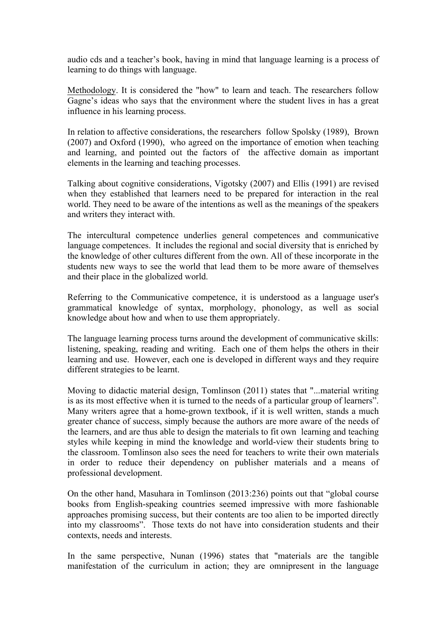audio cds and a teacher's book, having in mind that language learning is a process of learning to do things with language.

Methodology. It is considered the "how" to learn and teach. The researchers follow Gagne's ideas who says that the environment where the student lives in has a great influence in his learning process.

In relation to affective considerations, the researchers follow Spolsky (1989), Brown (2007) and Oxford (1990), who agreed on the importance of emotion when teaching and learning, and pointed out the factors of the affective domain as important elements in the learning and teaching processes.

Talking about cognitive considerations, Vigotsky (2007) and Ellis (1991) are revised when they established that learners need to be prepared for interaction in the real world. They need to be aware of the intentions as well as the meanings of the speakers and writers they interact with.

The intercultural competence underlies general competences and communicative language competences. It includes the regional and social diversity that is enriched by the knowledge of other cultures different from the own. All of these incorporate in the students new ways to see the world that lead them to be more aware of themselves and their place in the globalized world.

Referring to the Communicative competence, it is understood as a language user's grammatical knowledge of syntax, morphology, phonology, as well as social knowledge about how and when to use them appropriately.

The language learning process turns around the development of communicative skills: listening, speaking, reading and writing. Each one of them helps the others in their learning and use. However, each one is developed in different ways and they require different strategies to be learnt.

Moving to didactic material design, Tomlinson (2011) states that "...material writing is as its most effective when it is turned to the needs of a particular group of learners". Many writers agree that a home-grown textbook, if it is well written, stands a much greater chance of success, simply because the authors are more aware of the needs of the learners, and are thus able to design the materials to fit own learning and teaching styles while keeping in mind the knowledge and world-view their students bring to the classroom. Tomlinson also sees the need for teachers to write their own materials in order to reduce their dependency on publisher materials and a means of professional development.

On the other hand, Masuhara in Tomlinson (2013:236) points out that "global course books from English-speaking countries seemed impressive with more fashionable approaches promising success, but their contents are too alien to be imported directly into my classrooms". Those texts do not have into consideration students and their contexts, needs and interests.

In the same perspective, Nunan (1996) states that "materials are the tangible manifestation of the curriculum in action; they are omnipresent in the language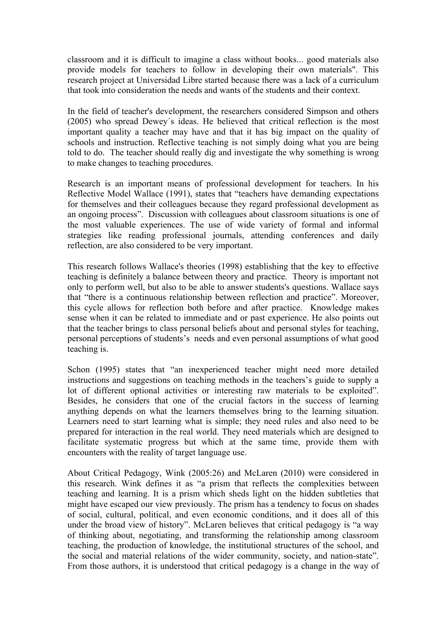classroom and it is difficult to imagine a class without books... good materials also provide models for teachers to follow in developing their own materials". This research project at Universidad Libre started because there was a lack of a curriculum that took into consideration the needs and wants of the students and their context.

In the field of teacher's development, the researchers considered Simpson and others (2005) who spread Dewey´s ideas. He believed that critical reflection is the most important quality a teacher may have and that it has big impact on the quality of schools and instruction. Reflective teaching is not simply doing what you are being told to do. The teacher should really dig and investigate the why something is wrong to make changes to teaching procedures.

Research is an important means of professional development for teachers. In his Reflective Model Wallace (1991), states that "teachers have demanding expectations for themselves and their colleagues because they regard professional development as an ongoing process". Discussion with colleagues about classroom situations is one of the most valuable experiences. The use of wide variety of formal and informal strategies like reading professional journals, attending conferences and daily reflection, are also considered to be very important.

This research follows Wallace's theories (1998) establishing that the key to effective teaching is definitely a balance between theory and practice. Theory is important not only to perform well, but also to be able to answer students's questions. Wallace says that "there is a continuous relationship between reflection and practice". Moreover, this cycle allows for reflection both before and after practice. Knowledge makes sense when it can be related to immediate and or past experience. He also points out that the teacher brings to class personal beliefs about and personal styles for teaching, personal perceptions of students's needs and even personal assumptions of what good teaching is.

Schon (1995) states that "an inexperienced teacher might need more detailed instructions and suggestions on teaching methods in the teachers's guide to supply a lot of different optional activities or interesting raw materials to be exploited". Besides, he considers that one of the crucial factors in the success of learning anything depends on what the learners themselves bring to the learning situation. Learners need to start learning what is simple; they need rules and also need to be prepared for interaction in the real world. They need materials which are designed to facilitate systematic progress but which at the same time, provide them with encounters with the reality of target language use.

About Critical Pedagogy, Wink (2005:26) and McLaren (2010) were considered in this research. Wink defines it as "a prism that reflects the complexities between teaching and learning. It is a prism which sheds light on the hidden subtleties that might have escaped our view previously. The prism has a tendency to focus on shades of social, cultural, political, and even economic conditions, and it does all of this under the broad view of history". McLaren believes that critical pedagogy is "a way of thinking about, negotiating, and transforming the relationship among classroom teaching, the production of knowledge, the institutional structures of the school, and the social and material relations of the wider community, society, and nation-state". From those authors, it is understood that critical pedagogy is a change in the way of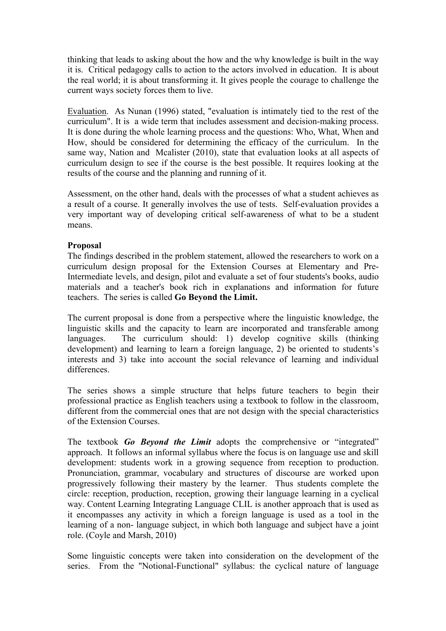thinking that leads to asking about the how and the why knowledge is built in the way it is. Critical pedagogy calls to action to the actors involved in education. It is about the real world; it is about transforming it. It gives people the courage to challenge the current ways society forces them to live.

Evaluation.As Nunan (1996) stated, "evaluation is intimately tied to the rest of the curriculum". It is a wide term that includes assessment and decision-making process. It is done during the whole learning process and the questions: Who, What, When and How, should be considered for determining the efficacy of the curriculum. In the same way, Nation and Mcalister (2010), state that evaluation looks at all aspects of curriculum design to see if the course is the best possible. It requires looking at the results of the course and the planning and running of it.

Assessment, on the other hand, deals with the processes of what a student achieves as a result of a course. It generally involves the use of tests. Self-evaluation provides a very important way of developing critical self-awareness of what to be a student means.

### **Proposal**

The findings described in the problem statement, allowed the researchers to work on a curriculum design proposal for the Extension Courses at Elementary and Pre-Intermediate levels, and design, pilot and evaluate a set of four students's books, audio materials and a teacher's book rich in explanations and information for future teachers. The series is called **Go Beyond the Limit.**

The current proposal is done from a perspective where the linguistic knowledge, the linguistic skills and the capacity to learn are incorporated and transferable among languages. The curriculum should: 1) develop cognitive skills (thinking development) and learning to learn a foreign language, 2) be oriented to students's interests and 3) take into account the social relevance of learning and individual differences.

The series shows a simple structure that helps future teachers to begin their professional practice as English teachers using a textbook to follow in the classroom, different from the commercial ones that are not design with the special characteristics of the Extension Courses.

The textbook *Go Beyond the Limit* adopts the comprehensive or "integrated" approach. It follows an informal syllabus where the focus is on language use and skill development: students work in a growing sequence from reception to production. Pronunciation, grammar, vocabulary and structures of discourse are worked upon progressively following their mastery by the learner. Thus students complete the circle: reception, production, reception, growing their language learning in a cyclical way. Content Learning Integrating Language CLIL is another approach that is used as it encompasses any activity in which a foreign language is used as a tool in the learning of a non- language subject, in which both language and subject have a joint role. (Coyle and Marsh, 2010)

Some linguistic concepts were taken into consideration on the development of the series. From the "Notional-Functional" syllabus: the cyclical nature of language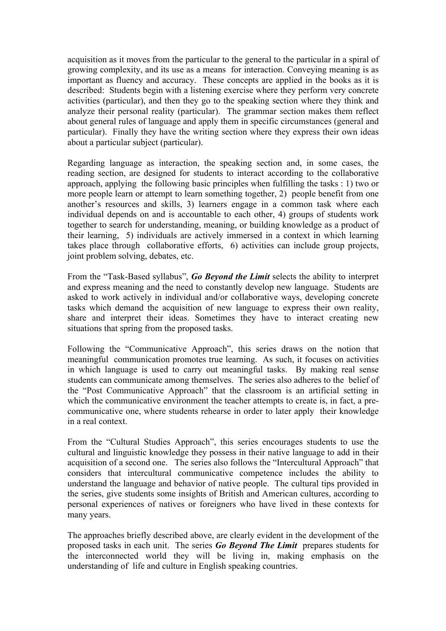acquisition as it moves from the particular to the general to the particular in a spiral of growing complexity, and its use as a means for interaction. Conveying meaning is as important as fluency and accuracy. These concepts are applied in the books as it is described: Students begin with a listening exercise where they perform very concrete activities (particular), and then they go to the speaking section where they think and analyze their personal reality (particular). The grammar section makes them reflect about general rules of language and apply them in specific circumstances (general and particular). Finally they have the writing section where they express their own ideas about a particular subject (particular).

Regarding language as interaction, the speaking section and, in some cases, the reading section, are designed for students to interact according to the collaborative approach, applying the following basic principles when fulfilling the tasks : 1) two or more people learn or attempt to learn something together, 2) people benefit from one another's resources and skills, 3) learners engage in a common task where each individual depends on and is accountable to each other, 4) groups of students work together to search for understanding, meaning, or building knowledge as a product of their learning, 5) individuals are actively immersed in a context in which learning takes place through collaborative efforts, 6) activities can include group projects, joint problem solving, debates, etc.

From the "Task-Based syllabus", *Go Beyond the Limit* selects the ability to interpret and express meaning and the need to constantly develop new language. Students are asked to work actively in individual and/or collaborative ways, developing concrete tasks which demand the acquisition of new language to express their own reality, share and interpret their ideas. Sometimes they have to interact creating new situations that spring from the proposed tasks.

Following the "Communicative Approach", this series draws on the notion that meaningful communication promotes true learning. As such, it focuses on activities in which language is used to carry out meaningful tasks. By making real sense students can communicate among themselves. The series also adheres to the belief of the "Post Communicative Approach" that the classroom is an artificial setting in which the communicative environment the teacher attempts to create is, in fact, a precommunicative one, where students rehearse in order to later apply their knowledge in a real context.

From the "Cultural Studies Approach", this series encourages students to use the cultural and linguistic knowledge they possess in their native language to add in their acquisition of a second one. The series also follows the "Intercultural Approach" that considers that intercultural communicative competence includes the ability to understand the language and behavior of native people. The cultural tips provided in the series, give students some insights of British and American cultures, according to personal experiences of natives or foreigners who have lived in these contexts for many years.

The approaches briefly described above, are clearly evident in the development of the proposed tasks in each unit. The series *Go Beyond The Limit* prepares students for the interconnected world they will be living in, making emphasis on the understanding of life and culture in English speaking countries.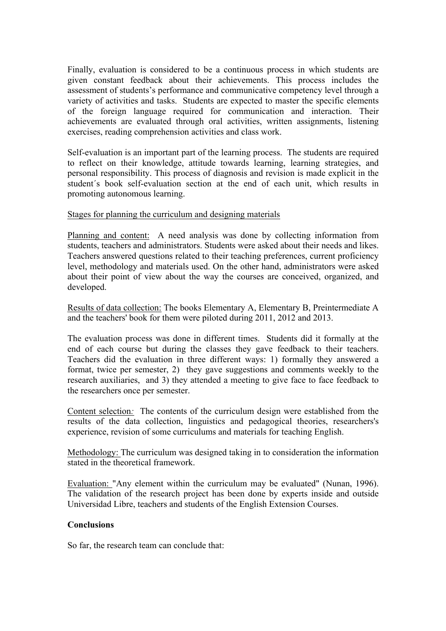Finally, evaluation is considered to be a continuous process in which students are given constant feedback about their achievements. This process includes the assessment of students's performance and communicative competency level through a variety of activities and tasks. Students are expected to master the specific elements of the foreign language required for communication and interaction. Their achievements are evaluated through oral activities, written assignments, listening exercises, reading comprehension activities and class work.

Self-evaluation is an important part of the learning process. The students are required to reflect on their knowledge, attitude towards learning, learning strategies, and personal responsibility. This process of diagnosis and revision is made explicit in the student´s book self-evaluation section at the end of each unit, which results in promoting autonomous learning.

## Stages for planning the curriculum and designing materials

Planning and content: A need analysis was done by collecting information from students, teachers and administrators. Students were asked about their needs and likes. Teachers answered questions related to their teaching preferences, current proficiency level, methodology and materials used. On the other hand, administrators were asked about their point of view about the way the courses are conceived, organized, and developed.

Results of data collection: The books Elementary A, Elementary B, Preintermediate A and the teachers' book for them were piloted during 2011, 2012 and 2013.

The evaluation process was done in different times. Students did it formally at the end of each course but during the classes they gave feedback to their teachers. Teachers did the evaluation in three different ways: 1) formally they answered a format, twice per semester, 2) they gave suggestions and comments weekly to the research auxiliaries, and 3) they attended a meeting to give face to face feedback to the researchers once per semester.

Content selection*:* The contents of the curriculum design were established from the results of the data collection, linguistics and pedagogical theories, researchers's experience, revision of some curriculums and materials for teaching English.

Methodology: The curriculum was designed taking in to consideration the information stated in the theoretical framework.

Evaluation: "Any element within the curriculum may be evaluated" (Nunan, 1996). The validation of the research project has been done by experts inside and outside Universidad Libre, teachers and students of the English Extension Courses.

### **Conclusions**

So far, the research team can conclude that: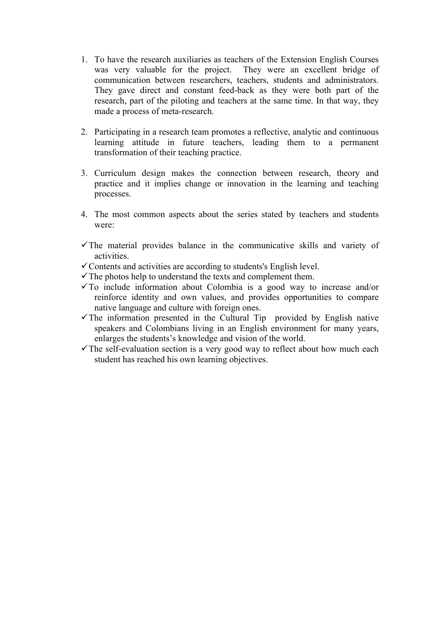- 1. To have the research auxiliaries as teachers of the Extension English Courses was very valuable for the project. They were an excellent bridge of communication between researchers, teachers, students and administrators. They gave direct and constant feed-back as they were both part of the research, part of the piloting and teachers at the same time. In that way, they made a process of meta-research.
- 2. Participating in a research team promotes a reflective, analytic and continuous learning attitude in future teachers, leading them to a permanent transformation of their teaching practice.
- 3. Curriculum design makes the connection between research, theory and practice and it implies change or innovation in the learning and teaching processes.
- 4. The most common aspects about the series stated by teachers and students were:
- $\checkmark$  The material provides balance in the communicative skills and variety of activities.
- $\checkmark$  Contents and activities are according to students's English level.
- $\checkmark$  The photos help to understand the texts and complement them.
- $\checkmark$  To include information about Colombia is a good way to increase and/or reinforce identity and own values, and provides opportunities to compare native language and culture with foreign ones.
- $\checkmark$  The information presented in the Cultural Tip provided by English native speakers and Colombians living in an English environment for many years, enlarges the students's knowledge and vision of the world.
- $\checkmark$  The self-evaluation section is a very good way to reflect about how much each student has reached his own learning objectives.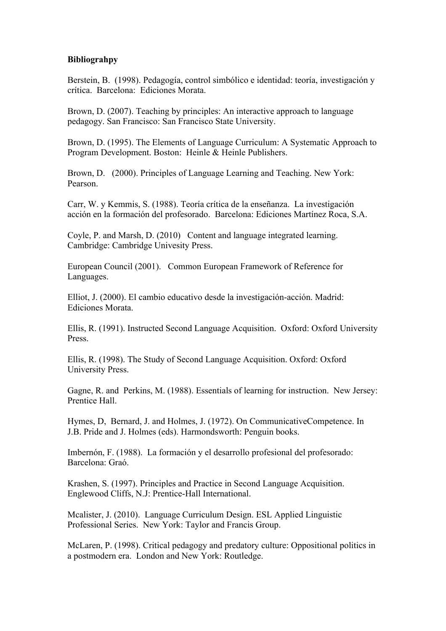### **Bibliograhpy**

Berstein, B. (1998). Pedagogía, control simbólico e identidad: teoría, investigación y crítica. Barcelona: Ediciones Morata.

Brown, D. (2007). Teaching by principles: An interactive approach to language pedagogy. San Francisco: San Francisco State University.

Brown, D. (1995). The Elements of Language Curriculum: A Systematic Approach to Program Development. Boston: Heinle & Heinle Publishers.

Brown, D. (2000). Principles of Language Learning and Teaching. New York: Pearson.

Carr, W. y Kemmis, S. (1988). Teoría crítica de la enseñanza. La investigación acción en la formación del profesorado. Barcelona: Ediciones Martínez Roca, S.A.

Coyle, P. and Marsh, D. (2010) Content and language integrated learning. Cambridge: Cambridge Univesity Press.

European Council (2001). Common European Framework of Reference for Languages.

Elliot, J. (2000). El cambio educativo desde la investigación-acción. Madrid: Ediciones Morata.

Ellis, R. (1991). Instructed Second Language Acquisition. Oxford: Oxford University Press.

Ellis, R. (1998). The Study of Second Language Acquisition. Oxford: Oxford University Press.

Gagne, R. and Perkins, M. (1988). Essentials of learning for instruction. New Jersey: Prentice Hall.

Hymes, D, Bernard, J. and Holmes, J. (1972). On CommunicativeCompetence. In J.B. Pride and J. Holmes (eds). Harmondsworth: Penguin books.

Imbernón, F. (1988). La formación y el desarrollo profesional del profesorado: Barcelona: Graó.

Krashen, S. (1997). Principles and Practice in Second Language Acquisition. Englewood Cliffs, N.J: Prentice-Hall International.

Mcalister, J. (2010). Language Curriculum Design. ESL Applied Linguistic Professional Series. New York: Taylor and Francis Group.

McLaren, P. (1998). Critical pedagogy and predatory culture: Oppositional politics in a postmodern era. London and New York: Routledge.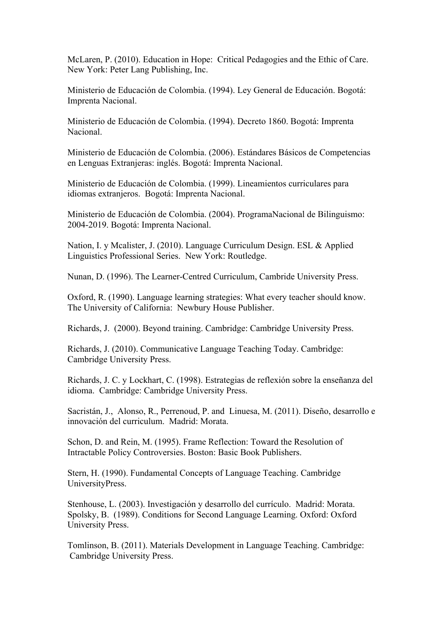McLaren, P. (2010). Education in Hope: Critical Pedagogies and the Ethic of Care. New York: Peter Lang Publishing, Inc.

Ministerio de Educación de Colombia. (1994). Ley General de Educación. Bogotá: Imprenta Nacional.

Ministerio de Educación de Colombia. (1994). Decreto 1860. Bogotá: Imprenta Nacional.

Ministerio de Educación de Colombia. (2006). Estándares Básicos de Competencias en Lenguas Extranjeras: inglés. Bogotá: Imprenta Nacional.

Ministerio de Educación de Colombia. (1999). Lineamientos curriculares para idiomas extranjeros. Bogotá: Imprenta Nacional.

Ministerio de Educación de Colombia. (2004). ProgramaNacional de Bilinguismo: 2004-2019. Bogotá: Imprenta Nacional.

Nation, I. y Mcalister, J. (2010). Language Curriculum Design. ESL & Applied Linguistics Professional Series. New York: Routledge.

Nunan, D. (1996). The Learner-Centred Curriculum, Cambride University Press.

Oxford, R. (1990). Language learning strategies: What every teacher should know. The University of California: Newbury House Publisher.

Richards, J. (2000). Beyond training. Cambridge: Cambridge University Press.

Richards, J. (2010). Communicative Language Teaching Today. Cambridge: Cambridge University Press.

Richards, J. C. y Lockhart, C. (1998). Estrategias de reflexión sobre la enseñanza del idioma. Cambridge: Cambridge University Press.

Sacristán, J., Alonso, R., Perrenoud, P. and Linuesa, M. (2011). Diseño, desarrollo e innovación del curriculum. Madrid: Morata.

Schon, D. and Rein, M. (1995). Frame Reflection: Toward the Resolution of Intractable Policy Controversies. Boston: Basic Book Publishers.

Stern, H. (1990). Fundamental Concepts of Language Teaching. Cambridge UniversityPress.

Stenhouse, L. (2003). Investigación y desarrollo del currículo. Madrid: Morata. Spolsky, B. (1989). Conditions for Second Language Learning. Oxford: Oxford University Press.

Tomlinson, B. (2011). Materials Development in Language Teaching. Cambridge: Cambridge University Press.